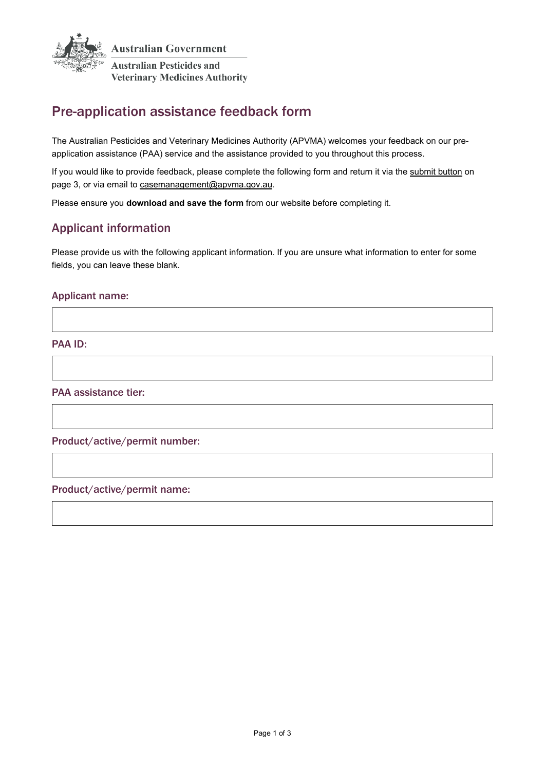

# Pre-application assistance feedback form

The Australian Pesticides and Veterinary Medicines Authority (APVMA) welcomes your feedback on our preapplication assistance (PAA) service and the assistance provided to you throughout this process.

If you would like to provide feedback, please complete the following form and return it via the [submit button](#page-2-0) on page 3, or via email to [casemanagement@apvma.gov.au.](mailto:casemanagement@apvma.gov.au)

Please ensure you **download and save the form** from our website before completing it.

## Applicant information

Please provide us with the following applicant information. If you are unsure what information to enter for some fields, you can leave these blank.

#### Applicant name:

PAA ID:

PAA assistance tier:

Product/active/permit number:

#### Product/active/permit name: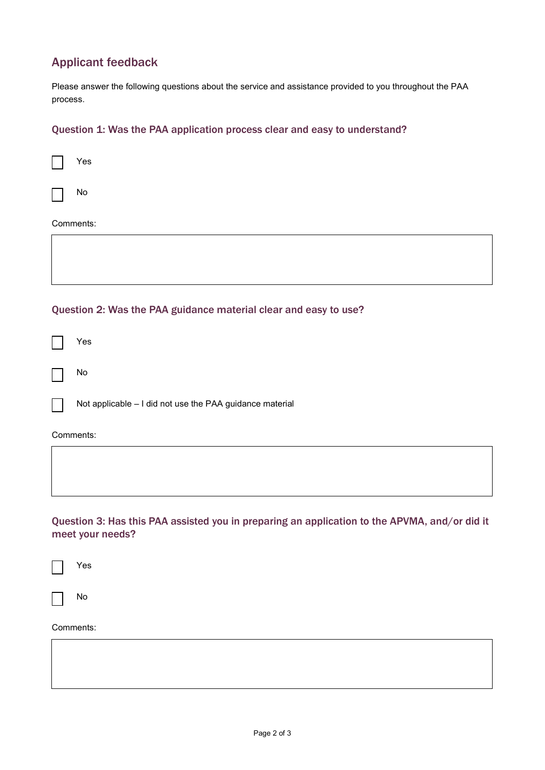## Applicant feedback

Please answer the following questions about the service and assistance provided to you throughout the PAA process.

#### Question 1: Was the PAA application process clear and easy to understand?

|                                                                  | Yes                                                      |  |  |  |  |
|------------------------------------------------------------------|----------------------------------------------------------|--|--|--|--|
|                                                                  | No                                                       |  |  |  |  |
| Comments:                                                        |                                                          |  |  |  |  |
|                                                                  |                                                          |  |  |  |  |
| Question 2: Was the PAA guidance material clear and easy to use? |                                                          |  |  |  |  |
|                                                                  | Yes                                                      |  |  |  |  |
|                                                                  | No                                                       |  |  |  |  |
|                                                                  | Not applicable - I did not use the PAA guidance material |  |  |  |  |
| Comments:                                                        |                                                          |  |  |  |  |
|                                                                  |                                                          |  |  |  |  |

Question 3: Has this PAA assisted you in preparing an application to the APVMA, and/or did it meet your needs?

Yes

No

#### Comments: